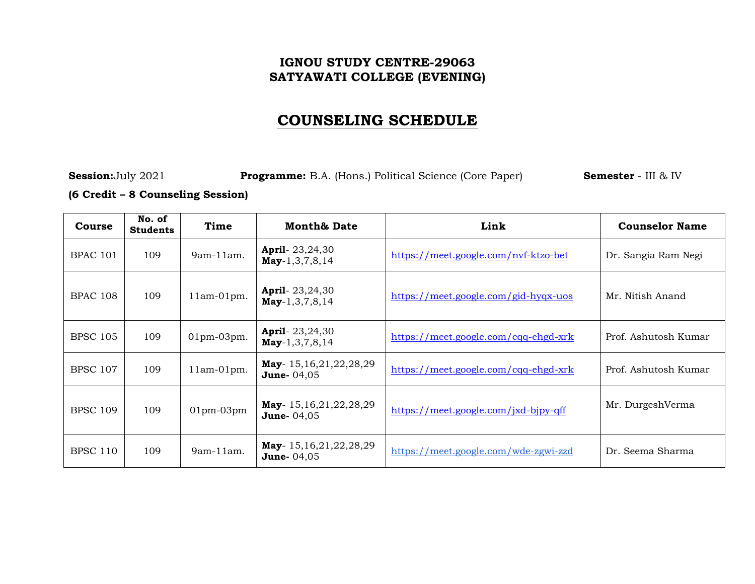### **IGNOU STUDY CENTRE-29063 SATYAWATI COLLEGE (EVENING)**

# **COUNSELING SCHEDULE**

**Session:**July 2021 **Programme:** B.A. (Hons.) Political Science (Core Paper) **Semester** - III & IV

#### **(6 Credit – 8 Counseling Session)**

| <b>Course</b>   | No. of<br><b>Students</b> | Time              | <b>Month&amp; Date</b>                              | Link                                 | <b>Counselor Name</b> |
|-----------------|---------------------------|-------------------|-----------------------------------------------------|--------------------------------------|-----------------------|
| <b>BPAC 101</b> | 109                       | $9am-11am$ .      | <b>April-</b> $23,24,30$<br>$May-1,3,7,8,14$        | https://meet.google.com/nvf-ktzo-bet | Dr. Sangia Ram Negi   |
| <b>BPAC 108</b> | 109                       | $11am-01pm.$      | <b>April</b> - $23,24,30$<br>$May-1,3,7,8,14$       | https://meet.google.com/gid-hyqx-uos | Mr. Nitish Anand      |
| <b>BPSC 105</b> | 109                       | $01$ pm- $03$ pm. | <b>April</b> - $23,24,30$<br>$May-1,3,7,8,14$       | https://meet.google.com/cqq-ehgd-xrk | Prof. Ashutosh Kumar  |
| <b>BPSC 107</b> | 109                       | $11am-01pm.$      | <b>May</b> -15,16,21,22,28,29<br><b>June-</b> 04,05 | https://meet.google.com/cqq-ehgd-xrk | Prof. Ashutosh Kumar  |
| <b>BPSC 109</b> | 109                       | $01$ pm- $03$ pm  | <b>May</b> -15,16,21,22,28,29<br><b>June-</b> 04,05 | https://meet.google.com/jxd-bjpy-qff | Mr. DurgeshVerma      |
| <b>BPSC 110</b> | 109                       | 9am-11am.         | <b>May</b> -15,16,21,22,28,29<br><b>June-</b> 04,05 | https://meet.google.com/wde-zgwi-zzd | Dr. Seema Sharma      |